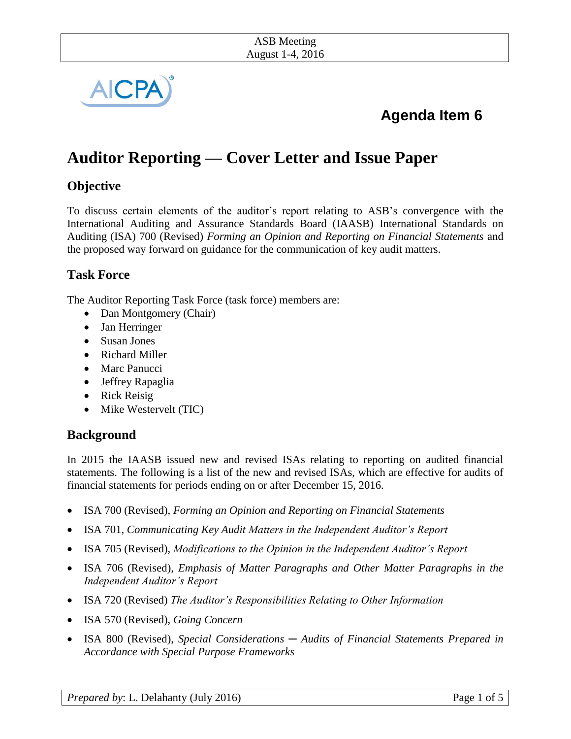

# **Agenda Item 6**

# **Auditor Reporting — Cover Letter and Issue Paper**

# **Objective**

To discuss certain elements of the auditor's report relating to ASB's convergence with the International Auditing and Assurance Standards Board (IAASB) International Standards on Auditing (ISA) 700 (Revised) *Forming an Opinion and Reporting on Financial Statements* and the proposed way forward on guidance for the communication of key audit matters.

### **Task Force**

The Auditor Reporting Task Force (task force) members are:

- Dan Montgomery (Chair)
- Jan Herringer
- Susan Jones
- Richard Miller
- Marc Panucci
- Jeffrey Rapaglia
- Rick Reisig
- Mike Westervelt (TIC)

# **Background**

In 2015 the IAASB issued new and revised ISAs relating to reporting on audited financial statements. The following is a list of the new and revised ISAs, which are effective for audits of financial statements for periods ending on or after December 15, 2016.

- ISA 700 (Revised), *Forming an Opinion and Reporting on Financial Statements*
- ISA 701, *Communicating Key Audit Matters in the Independent Auditor's Report*
- ISA 705 (Revised), *Modifications to the Opinion in the Independent Auditor's Report*
- ISA 706 (Revised), *Emphasis of Matter Paragraphs and Other Matter Paragraphs in the Independent Auditor's Report*
- ISA 720 (Revised) *The Auditor's Responsibilities Relating to Other Information*
- ISA 570 (Revised), *Going Concern*
- ISA 800 (Revised), *Special Considerations ─ Audits of Financial Statements Prepared in Accordance with Special Purpose Frameworks*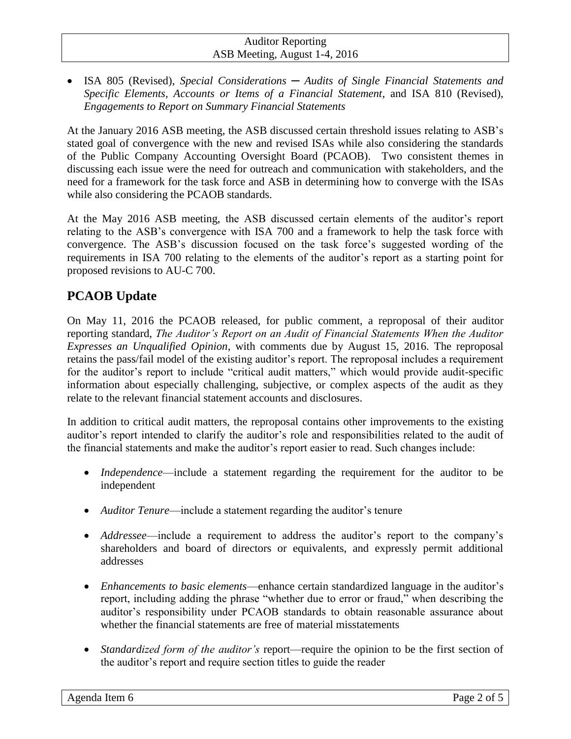#### Auditor Reporting ASB Meeting, August 1-4, 2016

 ISA 805 (Revised), *Special Considerations ─ Audits of Single Financial Statements and Specific Elements, Accounts or Items of a Financial Statement*, and ISA 810 (Revised), *Engagements to Report on Summary Financial Statements*

At the January 2016 ASB meeting, the ASB discussed certain threshold issues relating to ASB's stated goal of convergence with the new and revised ISAs while also considering the standards of the Public Company Accounting Oversight Board (PCAOB). Two consistent themes in discussing each issue were the need for outreach and communication with stakeholders, and the need for a framework for the task force and ASB in determining how to converge with the ISAs while also considering the PCAOB standards.

At the May 2016 ASB meeting, the ASB discussed certain elements of the auditor's report relating to the ASB's convergence with ISA 700 and a framework to help the task force with convergence. The ASB's discussion focused on the task force's suggested wording of the requirements in ISA 700 relating to the elements of the auditor's report as a starting point for proposed revisions to AU-C 700.

# **PCAOB Update**

On May 11, 2016 the PCAOB released, for public comment, a reproposal of their auditor reporting standard, *The Auditor's Report on an Audit of Financial Statements When the Auditor Expresses an Unqualified Opinion*, with comments due by August 15, 2016. The reproposal retains the pass/fail model of the existing auditor's report. The reproposal includes a requirement for the auditor's report to include "critical audit matters," which would provide audit-specific information about especially challenging, subjective, or complex aspects of the audit as they relate to the relevant financial statement accounts and disclosures.

In addition to critical audit matters, the reproposal contains other improvements to the existing auditor's report intended to clarify the auditor's role and responsibilities related to the audit of the financial statements and make the auditor's report easier to read. Such changes include:

- *Independence*—include a statement regarding the requirement for the auditor to be independent
- *Auditor Tenure*—include a statement regarding the auditor's tenure
- *Addressee*—include a requirement to address the auditor's report to the company's shareholders and board of directors or equivalents, and expressly permit additional addresses
- *Enhancements to basic elements*—enhance certain standardized language in the auditor's report, including adding the phrase "whether due to error or fraud," when describing the auditor's responsibility under PCAOB standards to obtain reasonable assurance about whether the financial statements are free of material misstatements
- *Standardized form of the auditor's* report—require the opinion to be the first section of the auditor's report and require section titles to guide the reader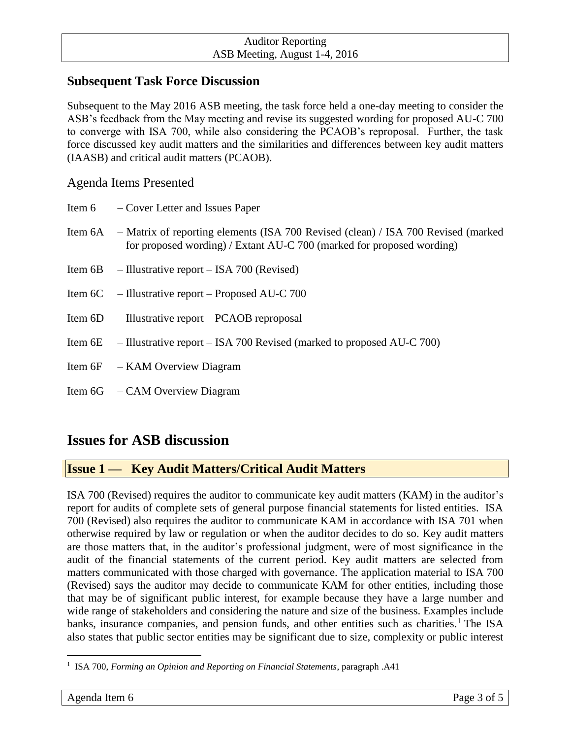## **Subsequent Task Force Discussion**

Subsequent to the May 2016 ASB meeting, the task force held a one-day meeting to consider the ASB's feedback from the May meeting and revise its suggested wording for proposed AU-C 700 to converge with ISA 700, while also considering the PCAOB's reproposal. Further, the task force discussed key audit matters and the similarities and differences between key audit matters (IAASB) and critical audit matters (PCAOB).

### Agenda Items Presented

|         | Item 6 – Cover Letter and Issues Paper                                                                                                                     |
|---------|------------------------------------------------------------------------------------------------------------------------------------------------------------|
| Item 6A | - Matrix of reporting elements (ISA 700 Revised (clean) / ISA 700 Revised (marked<br>for proposed wording) / Extant AU-C 700 (marked for proposed wording) |
| Item 6B | $-$ Illustrative report $-$ ISA 700 (Revised)                                                                                                              |
|         | Item $6C$ – Illustrative report – Proposed AU-C 700                                                                                                        |
|         | Item $6D$ - Illustrative report – PCAOB reproposal                                                                                                         |
|         | Item 6E $-$ Illustrative report – ISA 700 Revised (marked to proposed AU-C 700)                                                                            |
|         | Item 6F – KAM Overview Diagram                                                                                                                             |
|         | Item $6G - CAM$ Overview Diagram                                                                                                                           |

# **Issues for ASB discussion**

# **Issue 1 — Key Audit Matters/Critical Audit Matters**

ISA 700 (Revised) requires the auditor to communicate key audit matters (KAM) in the auditor's report for audits of complete sets of general purpose financial statements for listed entities. ISA 700 (Revised) also requires the auditor to communicate KAM in accordance with ISA 701 when otherwise required by law or regulation or when the auditor decides to do so. Key audit matters are those matters that, in the auditor's professional judgment, were of most significance in the audit of the financial statements of the current period. Key audit matters are selected from matters communicated with those charged with governance. The application material to ISA 700 (Revised) says the auditor may decide to communicate KAM for other entities, including those that may be of significant public interest, for example because they have a large number and wide range of stakeholders and considering the nature and size of the business. Examples include banks, insurance companies, and pension funds, and other entities such as charities.<sup>1</sup> The ISA also states that public sector entities may be significant due to size, complexity or public interest

 $\overline{a}$ 

<sup>1</sup> ISA 700, *Forming an Opinion and Reporting on Financial Statements*, paragraph .A41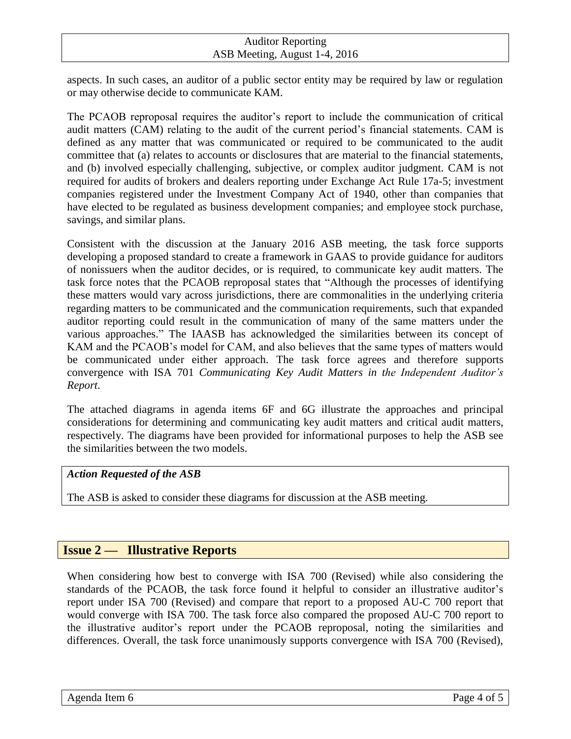### Auditor Reporting ASB Meeting, August 1-4, 2016

aspects. In such cases, an auditor of a public sector entity may be required by law or regulation or may otherwise decide to communicate KAM.

The PCAOB reproposal requires the auditor's report to include the communication of critical audit matters (CAM) relating to the audit of the current period's financial statements. CAM is defined as any matter that was communicated or required to be communicated to the audit committee that (a) relates to accounts or disclosures that are material to the financial statements, and (b) involved especially challenging, subjective, or complex auditor judgment. CAM is not required for audits of brokers and dealers reporting under Exchange Act Rule 17a-5; investment companies registered under the Investment Company Act of 1940, other than companies that have elected to be regulated as business development companies; and employee stock purchase, savings, and similar plans.

Consistent with the discussion at the January 2016 ASB meeting, the task force supports developing a proposed standard to create a framework in GAAS to provide guidance for auditors of nonissuers when the auditor decides, or is required, to communicate key audit matters. The task force notes that the PCAOB reproposal states that "Although the processes of identifying these matters would vary across jurisdictions, there are commonalities in the underlying criteria regarding matters to be communicated and the communication requirements, such that expanded auditor reporting could result in the communication of many of the same matters under the various approaches." The IAASB has acknowledged the similarities between its concept of KAM and the PCAOB's model for CAM, and also believes that the same types of matters would be communicated under either approach. The task force agrees and therefore supports convergence with ISA 701 *Communicating Key Audit Matters in the Independent Auditor's Report*.

The attached diagrams in agenda items 6F and 6G illustrate the approaches and principal considerations for determining and communicating key audit matters and critical audit matters, respectively. The diagrams have been provided for informational purposes to help the ASB see the similarities between the two models.

#### *Action Requested of the ASB*

The ASB is asked to consider these diagrams for discussion at the ASB meeting.

### **Issue 2 — Illustrative Reports**

When considering how best to converge with ISA 700 (Revised) while also considering the standards of the PCAOB, the task force found it helpful to consider an illustrative auditor's report under ISA 700 (Revised) and compare that report to a proposed AU-C 700 report that would converge with ISA 700. The task force also compared the proposed AU-C 700 report to the illustrative auditor's report under the PCAOB reproposal, noting the similarities and differences. Overall, the task force unanimously supports convergence with ISA 700 (Revised),